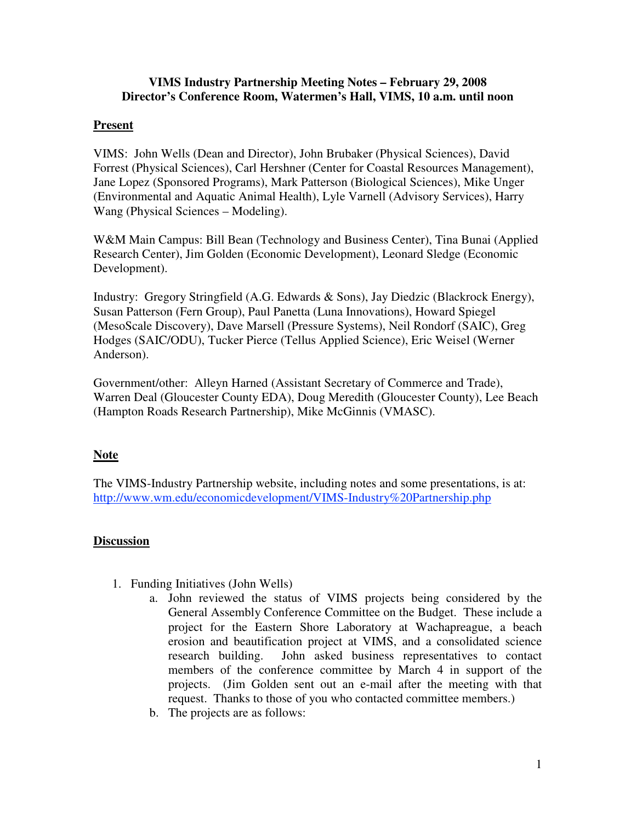## **VIMS Industry Partnership Meeting Notes – February 29, 2008 Director's Conference Room, Watermen's Hall, VIMS, 10 a.m. until noon**

## **Present**

VIMS: John Wells (Dean and Director), John Brubaker (Physical Sciences), David Forrest (Physical Sciences), Carl Hershner (Center for Coastal Resources Management), Jane Lopez (Sponsored Programs), Mark Patterson (Biological Sciences), Mike Unger (Environmental and Aquatic Animal Health), Lyle Varnell (Advisory Services), Harry Wang (Physical Sciences – Modeling).

W&M Main Campus: Bill Bean (Technology and Business Center), Tina Bunai (Applied Research Center), Jim Golden (Economic Development), Leonard Sledge (Economic Development).

Industry: Gregory Stringfield (A.G. Edwards & Sons), Jay Diedzic (Blackrock Energy), Susan Patterson (Fern Group), Paul Panetta (Luna Innovations), Howard Spiegel (MesoScale Discovery), Dave Marsell (Pressure Systems), Neil Rondorf (SAIC), Greg Hodges (SAIC/ODU), Tucker Pierce (Tellus Applied Science), Eric Weisel (Werner Anderson).

Government/other: Alleyn Harned (Assistant Secretary of Commerce and Trade), Warren Deal (Gloucester County EDA), Doug Meredith (Gloucester County), Lee Beach (Hampton Roads Research Partnership), Mike McGinnis (VMASC).

## **Note**

The VIMS-Industry Partnership website, including notes and some presentations, is at: http://www.wm.edu/economicdevelopment/VIMS-Industry%20Partnership.php

## **Discussion**

- 1. Funding Initiatives (John Wells)
	- a. John reviewed the status of VIMS projects being considered by the General Assembly Conference Committee on the Budget. These include a project for the Eastern Shore Laboratory at Wachapreague, a beach erosion and beautification project at VIMS, and a consolidated science research building. John asked business representatives to contact members of the conference committee by March 4 in support of the projects. (Jim Golden sent out an e-mail after the meeting with that request. Thanks to those of you who contacted committee members.)
	- b. The projects are as follows: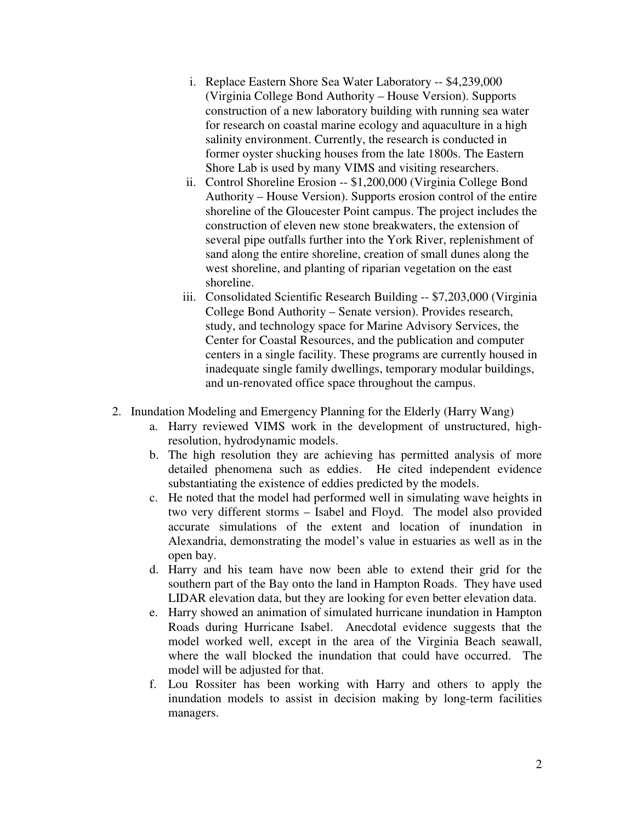- i. Replace Eastern Shore Sea Water Laboratory -- \$4,239,000 (Virginia College Bond Authority – House Version). Supports construction of a new laboratory building with running sea water for research on coastal marine ecology and aquaculture in a high salinity environment. Currently, the research is conducted in former oyster shucking houses from the late 1800s. The Eastern Shore Lab is used by many VIMS and visiting researchers.
- ii. Control Shoreline Erosion -- \$1,200,000 (Virginia College Bond Authority – House Version). Supports erosion control of the entire shoreline of the Gloucester Point campus. The project includes the construction of eleven new stone breakwaters, the extension of several pipe outfalls further into the York River, replenishment of sand along the entire shoreline, creation of small dunes along the west shoreline, and planting of riparian vegetation on the east shoreline.
- iii. Consolidated Scientific Research Building -- \$7,203,000 (Virginia College Bond Authority – Senate version). Provides research, study, and technology space for Marine Advisory Services, the Center for Coastal Resources, and the publication and computer centers in a single facility. These programs are currently housed in inadequate single family dwellings, temporary modular buildings, and un-renovated office space throughout the campus.
- 2. Inundation Modeling and Emergency Planning for the Elderly (Harry Wang)
	- a. Harry reviewed VIMS work in the development of unstructured, highresolution, hydrodynamic models.
	- b. The high resolution they are achieving has permitted analysis of more detailed phenomena such as eddies. He cited independent evidence substantiating the existence of eddies predicted by the models.
	- c. He noted that the model had performed well in simulating wave heights in two very different storms – Isabel and Floyd. The model also provided accurate simulations of the extent and location of inundation in Alexandria, demonstrating the model's value in estuaries as well as in the open bay.
	- d. Harry and his team have now been able to extend their grid for the southern part of the Bay onto the land in Hampton Roads. They have used LIDAR elevation data, but they are looking for even better elevation data.
	- e. Harry showed an animation of simulated hurricane inundation in Hampton Roads during Hurricane Isabel. Anecdotal evidence suggests that the model worked well, except in the area of the Virginia Beach seawall, where the wall blocked the inundation that could have occurred. The model will be adjusted for that.
	- f. Lou Rossiter has been working with Harry and others to apply the inundation models to assist in decision making by long-term facilities managers.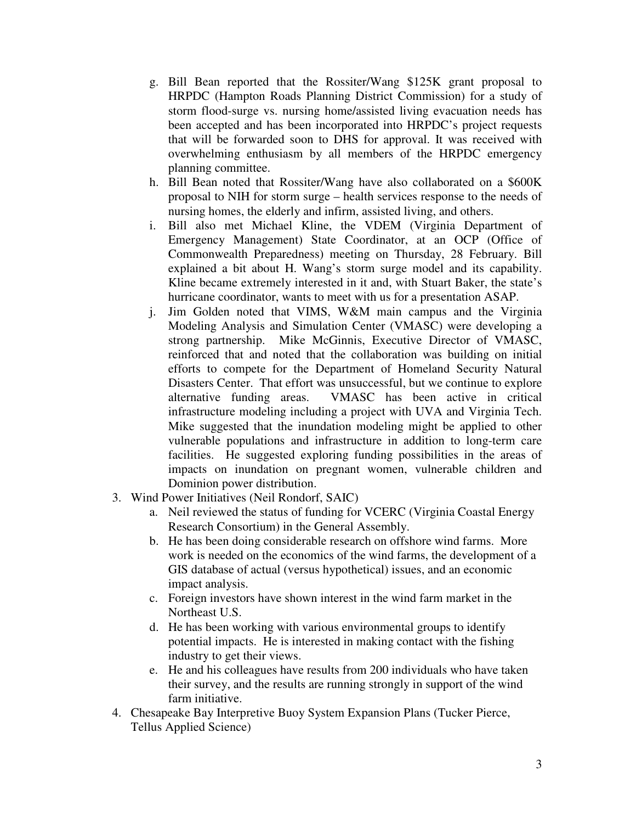- g. Bill Bean reported that the Rossiter/Wang \$125K grant proposal to HRPDC (Hampton Roads Planning District Commission) for a study of storm flood-surge vs. nursing home/assisted living evacuation needs has been accepted and has been incorporated into HRPDC's project requests that will be forwarded soon to DHS for approval. It was received with overwhelming enthusiasm by all members of the HRPDC emergency planning committee.
- h. Bill Bean noted that Rossiter/Wang have also collaborated on a \$600K proposal to NIH for storm surge – health services response to the needs of nursing homes, the elderly and infirm, assisted living, and others.
- i. Bill also met Michael Kline, the VDEM (Virginia Department of Emergency Management) State Coordinator, at an OCP (Office of Commonwealth Preparedness) meeting on Thursday, 28 February. Bill explained a bit about H. Wang's storm surge model and its capability. Kline became extremely interested in it and, with Stuart Baker, the state's hurricane coordinator, wants to meet with us for a presentation ASAP.
- j. Jim Golden noted that VIMS, W&M main campus and the Virginia Modeling Analysis and Simulation Center (VMASC) were developing a strong partnership. Mike McGinnis, Executive Director of VMASC, reinforced that and noted that the collaboration was building on initial efforts to compete for the Department of Homeland Security Natural Disasters Center. That effort was unsuccessful, but we continue to explore alternative funding areas. VMASC has been active in critical infrastructure modeling including a project with UVA and Virginia Tech. Mike suggested that the inundation modeling might be applied to other vulnerable populations and infrastructure in addition to long-term care facilities. He suggested exploring funding possibilities in the areas of impacts on inundation on pregnant women, vulnerable children and Dominion power distribution.
- 3. Wind Power Initiatives (Neil Rondorf, SAIC)
	- a. Neil reviewed the status of funding for VCERC (Virginia Coastal Energy Research Consortium) in the General Assembly.
	- b. He has been doing considerable research on offshore wind farms. More work is needed on the economics of the wind farms, the development of a GIS database of actual (versus hypothetical) issues, and an economic impact analysis.
	- c. Foreign investors have shown interest in the wind farm market in the Northeast U.S.
	- d. He has been working with various environmental groups to identify potential impacts. He is interested in making contact with the fishing industry to get their views.
	- e. He and his colleagues have results from 200 individuals who have taken their survey, and the results are running strongly in support of the wind farm initiative.
- 4. Chesapeake Bay Interpretive Buoy System Expansion Plans (Tucker Pierce, Tellus Applied Science)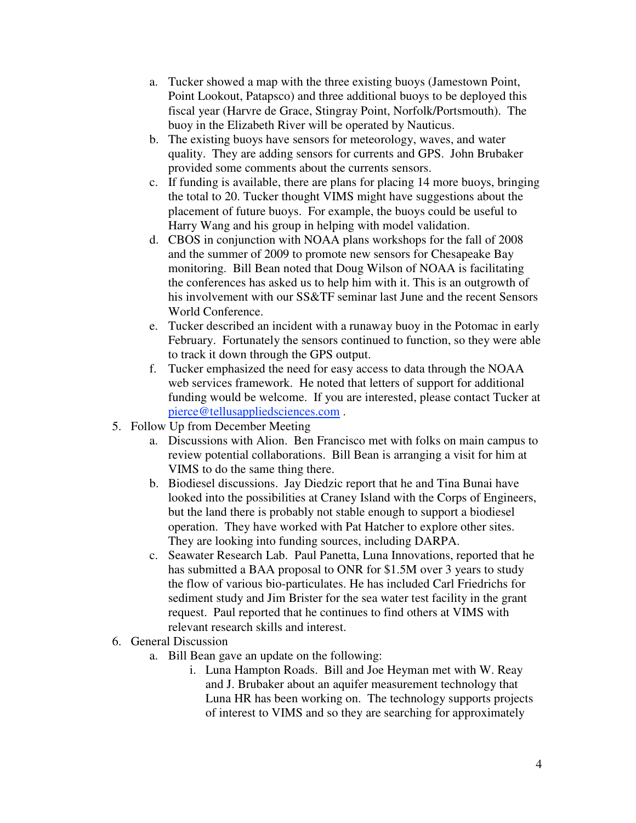- a. Tucker showed a map with the three existing buoys (Jamestown Point, Point Lookout, Patapsco) and three additional buoys to be deployed this fiscal year (Harvre de Grace, Stingray Point, Norfolk/Portsmouth). The buoy in the Elizabeth River will be operated by Nauticus.
- b. The existing buoys have sensors for meteorology, waves, and water quality. They are adding sensors for currents and GPS. John Brubaker provided some comments about the currents sensors.
- c. If funding is available, there are plans for placing 14 more buoys, bringing the total to 20. Tucker thought VIMS might have suggestions about the placement of future buoys. For example, the buoys could be useful to Harry Wang and his group in helping with model validation.
- d. CBOS in conjunction with NOAA plans workshops for the fall of 2008 and the summer of 2009 to promote new sensors for Chesapeake Bay monitoring. Bill Bean noted that Doug Wilson of NOAA is facilitating the conferences has asked us to help him with it. This is an outgrowth of his involvement with our SS&TF seminar last June and the recent Sensors World Conference.
- e. Tucker described an incident with a runaway buoy in the Potomac in early February. Fortunately the sensors continued to function, so they were able to track it down through the GPS output.
- f. Tucker emphasized the need for easy access to data through the NOAA web services framework. He noted that letters of support for additional funding would be welcome. If you are interested, please contact Tucker at pierce@tellusappliedsciences.com .
- 5. Follow Up from December Meeting
	- a. Discussions with Alion. Ben Francisco met with folks on main campus to review potential collaborations. Bill Bean is arranging a visit for him at VIMS to do the same thing there.
	- b. Biodiesel discussions. Jay Diedzic report that he and Tina Bunai have looked into the possibilities at Craney Island with the Corps of Engineers, but the land there is probably not stable enough to support a biodiesel operation. They have worked with Pat Hatcher to explore other sites. They are looking into funding sources, including DARPA.
	- c. Seawater Research Lab. Paul Panetta, Luna Innovations, reported that he has submitted a BAA proposal to ONR for \$1.5M over 3 years to study the flow of various bio-particulates. He has included Carl Friedrichs for sediment study and Jim Brister for the sea water test facility in the grant request. Paul reported that he continues to find others at VIMS with relevant research skills and interest.
- 6. General Discussion
	- a. Bill Bean gave an update on the following:
		- i. Luna Hampton Roads. Bill and Joe Heyman met with W. Reay and J. Brubaker about an aquifer measurement technology that Luna HR has been working on. The technology supports projects of interest to VIMS and so they are searching for approximately